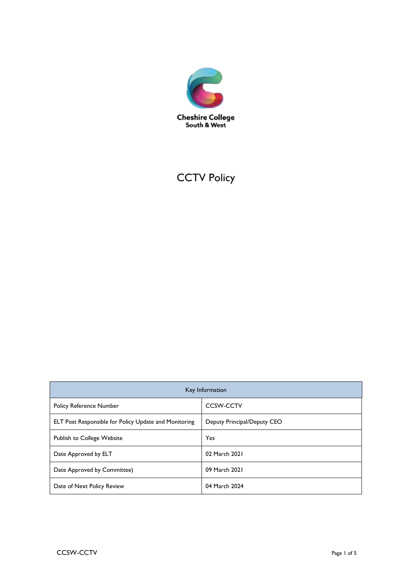

# **CCTV Policy**

| Key Information                                              |                             |
|--------------------------------------------------------------|-----------------------------|
| <b>Policy Reference Number</b>                               | <b>CCSW-CCTV</b>            |
| <b>ELT Post Responsible for Policy Update and Monitoring</b> | Deputy Principal/Deputy CEO |
| Publish to College Website                                   | Yes                         |
| Date Approved by ELT                                         | 02 March 2021               |
| Date Approved by Committee)                                  | 09 March 2021               |
| Date of Next Policy Review                                   | 04 March 2024               |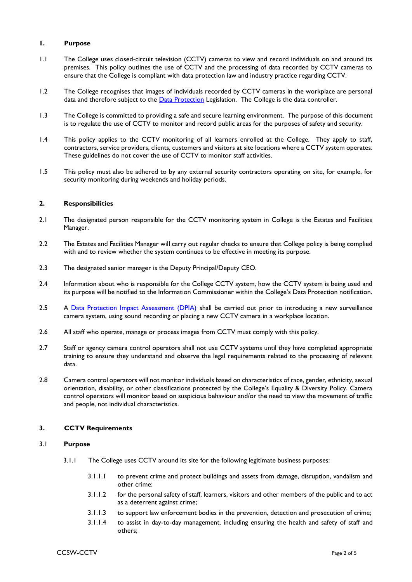# **1. Purpose**

- 1.1 The College uses closed-circuit television (CCTV) cameras to view and record individuals on and around its premises. This policy outlines the use of CCTV and the processing of data recorded by CCTV cameras to ensure that the College is compliant with data protection law and industry practice regarding CCTV.
- 1.2 The College recognises that images of individuals recorded by CCTV cameras in the workplace are personal data and therefore subject to the [Data Protection](https://southcheshire.sharepoint.com/sites/PoliciesandProcedures/Shared%20Documents/Data%20Protection%20Policy.docx) Legislation. The College is the data controller.
- 1.3 The College is committed to providing a safe and secure learning environment. The purpose of this document is to regulate the use of CCTV to monitor and record public areas for the purposes of safety and security.
- 1.4 This policy applies to the CCTV monitoring of all learners enrolled at the College. They apply to staff, contractors, service providers, clients, customers and visitors at site locations where a CCTV system operates. These guidelines do not cover the use of CCTV to monitor staff activities.
- 1.5 This policy must also be adhered to by any external security contractors operating on site, for example, for security monitoring during weekends and holiday periods.

#### **2. Responsibilities**

- 2.1 The designated person responsible for the CCTV monitoring system in College is the Estates and Facilities Manager.
- 2.2 The Estates and Facilities Manager will carry out regular checks to ensure that College policy is being complied with and to review whether the system continues to be effective in meeting its purpose.
- 2.3 The designated senior manager is the Deputy Principal/Deputy CEO.
- 2.4 Information about who is responsible for the College CCTV system, how the CCTV system is being used and its purpose will be notified to the Information Commissioner within the College's Data Protection notification.
- 2.5 A [Data Protection Impact Assessment \(DPIA\)](https://southcheshire.sharepoint.com/sites/PoliciesandProcedures/Shared%20Documents/Data%20Protection%20Impact%20Assessment%20Policy.docx) shall be carried out prior to introducing a new surveillance camera system, using sound recording or placing a new CCTV camera in a workplace location.
- 2.6 All staff who operate, manage or process images from CCTV must comply with this policy.
- 2.7 Staff or agency camera control operators shall not use CCTV systems until they have completed appropriate training to ensure they understand and observe the legal requirements related to the processing of relevant data.
- 2.8 Camera control operators will not monitor individuals based on characteristics of race, gender, ethnicity, sexual orientation, disability, or other classifications protected by the College's Equality & Diversity Policy. Camera control operators will monitor based on suspicious behaviour and/or the need to view the movement of traffic and people, not individual characteristics.

#### **3. CCTV Requirements**

#### 3.1 **Purpose**

- 3.1.1 The College uses CCTV around its site for the following legitimate business purposes:
	- 3.1.1.1 to prevent crime and protect buildings and assets from damage, disruption, vandalism and other crime;
	- 3.1.1.2 for the personal safety of staff, learners, visitors and other members of the public and to act as a deterrent against crime;
	- 3.1.1.3 to support law enforcement bodies in the prevention, detection and prosecution of crime;
	- 3.1.1.4 to assist in day-to-day management, including ensuring the health and safety of staff and others;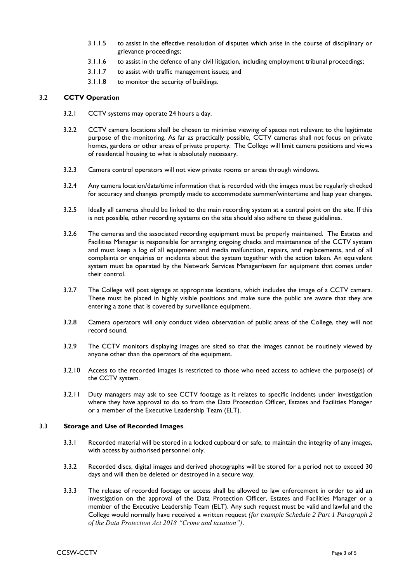- 3.1.1.5 to assist in the effective resolution of disputes which arise in the course of disciplinary or grievance proceedings;
- 3.1.1.6 to assist in the defence of any civil litigation, including employment tribunal proceedings;
- 3.1.1.7 to assist with traffic management issues; and
- 3.1.1.8 to monitor the security of buildings.

## 3.2 **CCTV Operation**

- 3.2.1 CCTV systems may operate 24 hours a day.
- 3.2.2 CCTV camera locations shall be chosen to minimise viewing of spaces not relevant to the legitimate purpose of the monitoring. As far as practically possible, CCTV cameras shall not focus on private homes, gardens or other areas of private property. The College will limit camera positions and views of residential housing to what is absolutely necessary.
- 3.2.3 Camera control operators will not view private rooms or areas through windows.
- 3.2.4 Any camera location/data/time information that is recorded with the images must be regularly checked for accuracy and changes promptly made to accommodate summer/wintertime and leap year changes.
- 3.2.5 Ideally all cameras should be linked to the main recording system at a central point on the site. If this is not possible, other recording systems on the site should also adhere to these guidelines.
- 3.2.6 The cameras and the associated recording equipment must be properly maintained. The Estates and Facilities Manager is responsible for arranging ongoing checks and maintenance of the CCTV system and must keep a log of all equipment and media malfunction, repairs, and replacements, and of all complaints or enquiries or incidents about the system together with the action taken. An equivalent system must be operated by the Network Services Manager/team for equipment that comes under their control.
- 3.2.7 The College will post signage at appropriate locations, which includes the image of a CCTV camera. These must be placed in highly visible positions and make sure the public are aware that they are entering a zone that is covered by surveillance equipment.
- 3.2.8 Camera operators will only conduct video observation of public areas of the College, they will not record sound.
- 3.2.9 The CCTV monitors displaying images are sited so that the images cannot be routinely viewed by anyone other than the operators of the equipment.
- 3.2.10 Access to the recorded images is restricted to those who need access to achieve the purpose(s) of the CCTV system.
- 3.2.11 Duty managers may ask to see CCTV footage as it relates to specific incidents under investigation where they have approval to do so from the Data Protection Officer, Estates and Facilities Manager or a member of the Executive Leadership Team (ELT).

#### 3.3 **Storage and Use of Recorded Images**.

- 3.3.1 Recorded material will be stored in a locked cupboard or safe, to maintain the integrity of any images, with access by authorised personnel only.
- 3.3.2 Recorded discs, digital images and derived photographs will be stored for a period not to exceed 30 days and will then be deleted or destroyed in a secure way.
- 3.3.3 The release of recorded footage or access shall be allowed to law enforcement in order to aid an investigation on the approval of the Data Protection Officer, Estates and Facilities Manager or a member of the Executive Leadership Team (ELT). Any such request must be valid and lawful and the College would normally have received a written request *(for example Schedule 2 Part 1 Paragraph 2 of the Data Protection Act 2018 "Crime and taxation")*.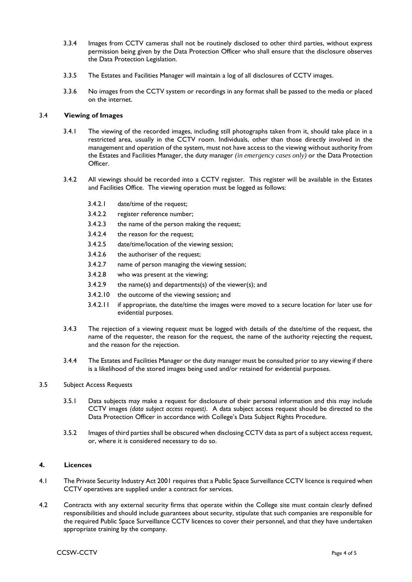- 3.3.4 Images from CCTV cameras shall not be routinely disclosed to other third parties, without express permission being given by the Data Protection Officer who shall ensure that the disclosure observes the Data Protection Legislation.
- 3.3.5 The Estates and Facilities Manager will maintain a log of all disclosures of CCTV images.
- 3.3.6 No images from the CCTV system or recordings in any format shall be passed to the media or placed on the internet.

# 3.4 **Viewing of Images**

- 3.4.1 The viewing of the recorded images, including still photographs taken from it, should take place in a restricted area, usually in the CCTV room. Individuals, other than those directly involved in the management and operation of the system, must not have access to the viewing without authority from the Estates and Facilities Manager, the duty manager *(in emergency cases only)* or the Data Protection Officer.
- 3.4.2 All viewings should be recorded into a CCTV register. This register will be available in the Estates and Facilities Office. The viewing operation must be logged as follows:
	- 3.4.2.1 date/time of the request;
	- 3.4.2.2 register reference number;
	- 3.4.2.3 the name of the person making the request;
	- 3.4.2.4 the reason for the request;
	- 3.4.2.5 date/time/location of the viewing session;
	- 3.4.2.6 the authoriser of the request;
	- 3.4.2.7 name of person managing the viewing session;
	- 3.4.2.8 who was present at the viewing;
	- 3.4.2.9 the name(s) and departments(s) of the viewer(s); and
	- 3.4.2.10 the outcome of the viewing session**;** and
	- 3.4.2.11 if appropriate, the date/time the images were moved to a secure location for later use for evidential purposes.
- 3.4.3 The rejection of a viewing request must be logged with details of the date/time of the request, the name of the requester, the reason for the request, the name of the authority rejecting the request, and the reason for the rejection.
- 3.4.4 The Estates and Facilities Manager or the duty manager must be consulted prior to any viewing if there is a likelihood of the stored images being used and/or retained for evidential purposes.
- 3.5 Subject Access Requests
	- 3.5.1 Data subjects may make a request for disclosure of their personal information and this may include CCTV images *(data subject access request)*. A data subject access request should be directed to the Data Protection Officer in accordance with College's Data Subject Rights Procedure.
	- 3.5.2 Images of third parties shall be obscured when disclosing CCTV data as part of a subject access request, or, where it is considered necessary to do so.

# **4. Licences**

- 4.1 The Private Security Industry Act 2001 requires that a Public Space Surveillance CCTV licence is required when CCTV operatives are supplied under a contract for services.
- 4.2 Contracts with any external security firms that operate within the College site must contain clearly defined responsibilities and should include guarantees about security, stipulate that such companies are responsible for the required Public Space Surveillance CCTV licences to cover their personnel, and that they have undertaken appropriate training by the company.